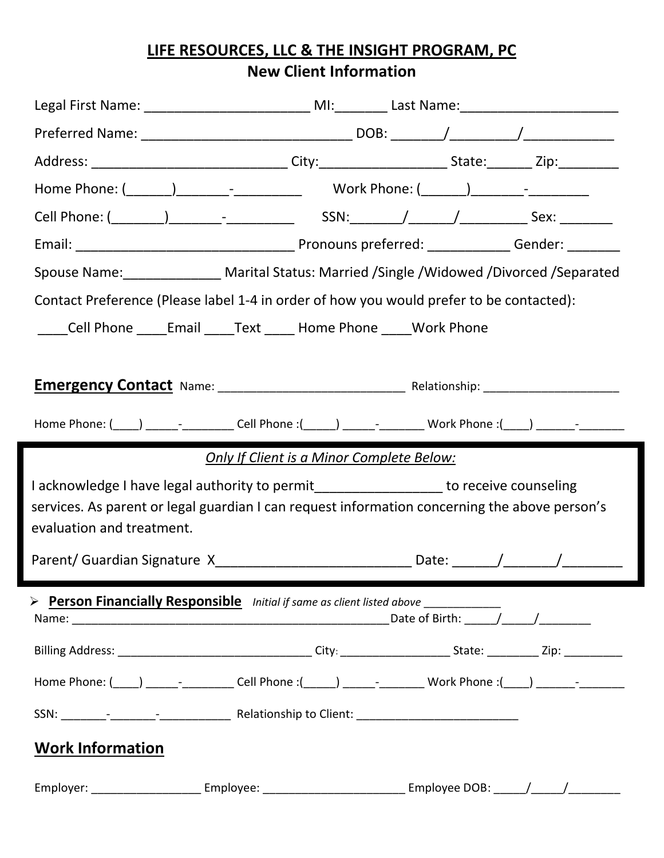# **LIFE RESOURCES, LLC & THE INSIGHT PROGRAM, PC New Client Information**

| Address: ________________________________City:________________________State:__________Zip:_______________                                                                              |  |  |
|----------------------------------------------------------------------------------------------------------------------------------------------------------------------------------------|--|--|
|                                                                                                                                                                                        |  |  |
|                                                                                                                                                                                        |  |  |
|                                                                                                                                                                                        |  |  |
| Spouse Name: _______________ Marital Status: Married /Single /Widowed /Divorced /Separated                                                                                             |  |  |
| Contact Preference (Please label 1-4 in order of how you would prefer to be contacted):                                                                                                |  |  |
| Cell Phone ______ Email ______ Text ______ Home Phone ______ Work Phone                                                                                                                |  |  |
|                                                                                                                                                                                        |  |  |
|                                                                                                                                                                                        |  |  |
| Home Phone: (____) _________________Cell Phone :(_____) _______________Work Phone :(____) __________                                                                                   |  |  |
|                                                                                                                                                                                        |  |  |
| <b>Only If Client is a Minor Complete Below:</b>                                                                                                                                       |  |  |
| I acknowledge I have legal authority to permit_________________ to receive counseling<br>services. As parent or legal guardian I can request information concerning the above person's |  |  |
| evaluation and treatment.                                                                                                                                                              |  |  |
|                                                                                                                                                                                        |  |  |
|                                                                                                                                                                                        |  |  |
|                                                                                                                                                                                        |  |  |
| > Person Financially Responsible Initial if same as client listed above ________                                                                                                       |  |  |
|                                                                                                                                                                                        |  |  |
| Billing Address: __________________________________City: _______________________State: _____________Zip: ____________                                                                  |  |  |
| Home Phone: (____) _________________Cell Phone :(_____) _______________Work Phone :(____) __________                                                                                   |  |  |
|                                                                                                                                                                                        |  |  |
| <b>Work Information</b>                                                                                                                                                                |  |  |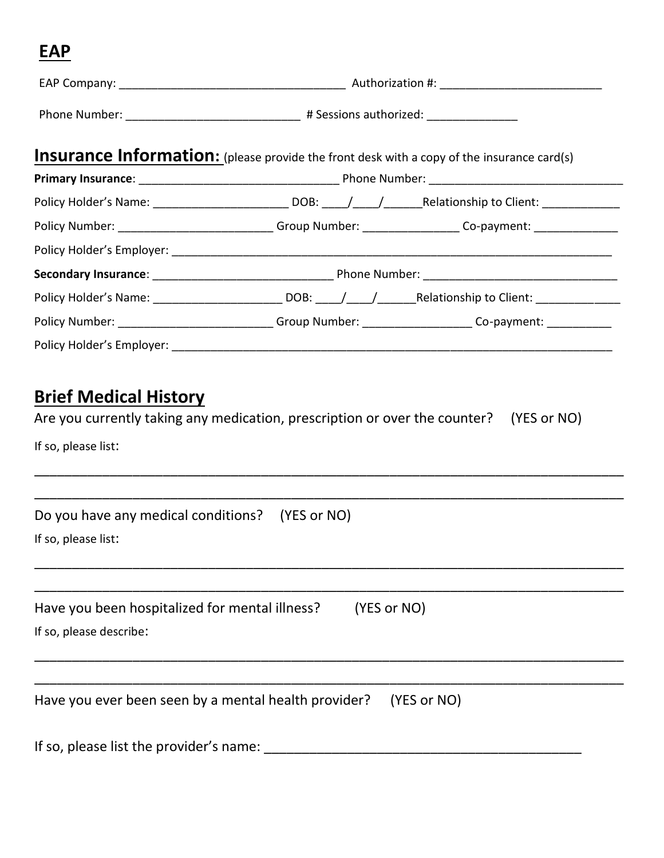# **EAP**

|                                                                                                   | Phone Number: _________________________________ # Sessions authorized: ________________ |                                                                                                                |  |
|---------------------------------------------------------------------------------------------------|-----------------------------------------------------------------------------------------|----------------------------------------------------------------------------------------------------------------|--|
| <b>Insurance Information:</b> (please provide the front desk with a copy of the insurance card(s) |                                                                                         |                                                                                                                |  |
|                                                                                                   |                                                                                         |                                                                                                                |  |
|                                                                                                   |                                                                                         | Policy Holder's Name: _____________________________DOB: ____/_____/____________Relationship to Client: _______ |  |
|                                                                                                   |                                                                                         | Policy Number: _______________________________Group Number: ___________________Co-payment: __________________  |  |
|                                                                                                   |                                                                                         |                                                                                                                |  |
|                                                                                                   |                                                                                         |                                                                                                                |  |
|                                                                                                   |                                                                                         |                                                                                                                |  |
|                                                                                                   |                                                                                         | Policy Number: ______________________________Group Number: _____________________Co-payment: _____________      |  |
|                                                                                                   |                                                                                         |                                                                                                                |  |

# **Brief Medical History**

Are you currently taking any medication, prescription or over the counter? (YES or NO)

\_\_\_\_\_\_\_\_\_\_\_\_\_\_\_\_\_\_\_\_\_\_\_\_\_\_\_\_\_\_\_\_\_\_\_\_\_\_\_\_\_\_\_\_\_\_\_\_\_\_\_\_\_\_\_\_\_\_\_\_\_\_\_\_\_\_\_\_\_\_\_\_\_\_\_\_\_\_

If so, please list:

| Do you have any medical conditions? (YES or NO)                     |
|---------------------------------------------------------------------|
| If so, please list:                                                 |
|                                                                     |
| Have you been hospitalized for mental illness?<br>(YES or NO)       |
| If so, please describe:                                             |
|                                                                     |
| Have you ever been seen by a mental health provider?<br>(YES or NO) |
| If so, please list the provider's name:                             |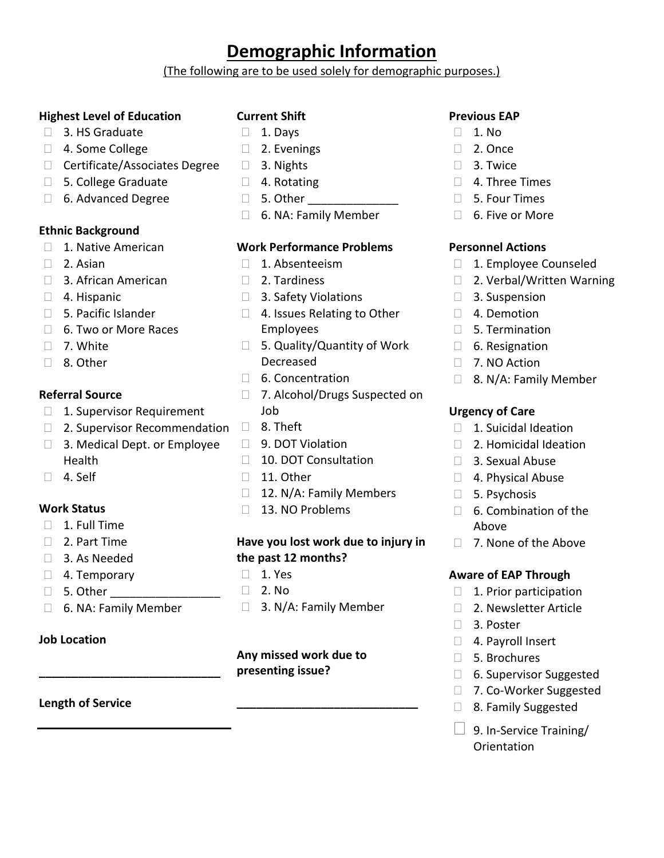## **Demographic Information**

(The following are to be used solely for demographic purposes.)

#### **Highest Level of Education**

- □ 3. HS Graduate
- □ 4. Some College
- □ Certificate/Associates Degree
- □ 5. College Graduate
- 6. Advanced Degree

#### **Ethnic Background**

- □ 1. Native American
- 2. Asian
- □ 3. African American
- 4. Hispanic
- □ 5. Pacific Islander
- 6. Two or More Races
- $\Box$  7. White
- 8. Other

#### **Referral Source**

- □ 1. Supervisor Requirement
- $\Box$  2. Supervisor Recommendation  $\Box$  8. Theft
- □ 3. Medical Dept. or Employee Health
- □ 4. Self

#### **Work Status**

- $\Box$  1. Full Time
- 2. Part Time
- 3. As Needed
- □ 4. Temporary
- $\Box$  5. Other
- □ 6. NA: Family Member

**\_\_\_\_\_\_\_\_\_\_\_\_\_\_\_\_\_\_\_\_\_\_\_\_\_\_\_\_**

#### **Job Location**

#### **Length of Service**

#### **Current Shift**

- $\Box$  1. Davs
- □ 2. Evenings
- □ 3. Nights
- □ 4. Rotating
- $\Box$  5. Other
- 6. NA: Family Member

#### **Work Performance Problems**

- 1. Absenteeism
- 2. Tardiness
- □ 3. Safety Violations
- □ 4. Issues Relating to Other Employees
- □ 5. Quality/Quantity of Work Decreased
- □ 6. Concentration
- □ 7. Alcohol/Drugs Suspected on Job
- 
- □ 9. DOT Violation
- □ 10. DOT Consultation
- $\Box$  11. Other
- □ 12. N/A: Family Members
- □ 13. NO Problems

#### **Have you lost work due to injury in the past 12 months?**

- $\Box$  1. Yes
- □ 2. No
- □ 3. N/A: Family Member

#### **Any missed work due to presenting issue?**

**\_\_\_\_\_\_\_\_\_\_\_\_\_\_\_\_\_\_\_\_\_\_\_\_\_\_\_\_**

#### **Previous EAP**

- $\Box$  1. No.
- □ 2. Once
- 3. Twice
- 4. Three Times
- 5. Four Times
- 6. Five or More

#### **Personnel Actions**

- □ 1. Employee Counseled
- □ 2. Verbal/Written Warning
- 3. Suspension
- □ 4. Demotion
- $\Box$  5. Termination
- □ 6. Resignation
- □ 7. NO Action
- □ 8. N/A: Family Member

#### **Urgency of Care**

- □ 1. Suicidal Ideation
- □ 2. Homicidal Ideation
- 3. Sexual Abuse
- □ 4. Physical Abuse
- 5. Psychosis
- $\Box$  6. Combination of the Above
- □ 7. None of the Above

#### **Aware of EAP Through**

- $\Box$  1. Prior participation
- □ 2. Newsletter Article
- □ 3. Poster
- □ 4. Payroll Insert
- 5. Brochures
- □ 6. Supervisor Suggested
- □ 7. Co-Worker Suggested
- □ 8. Family Suggested
- $\Box$  9. In-Service Training/ Orientation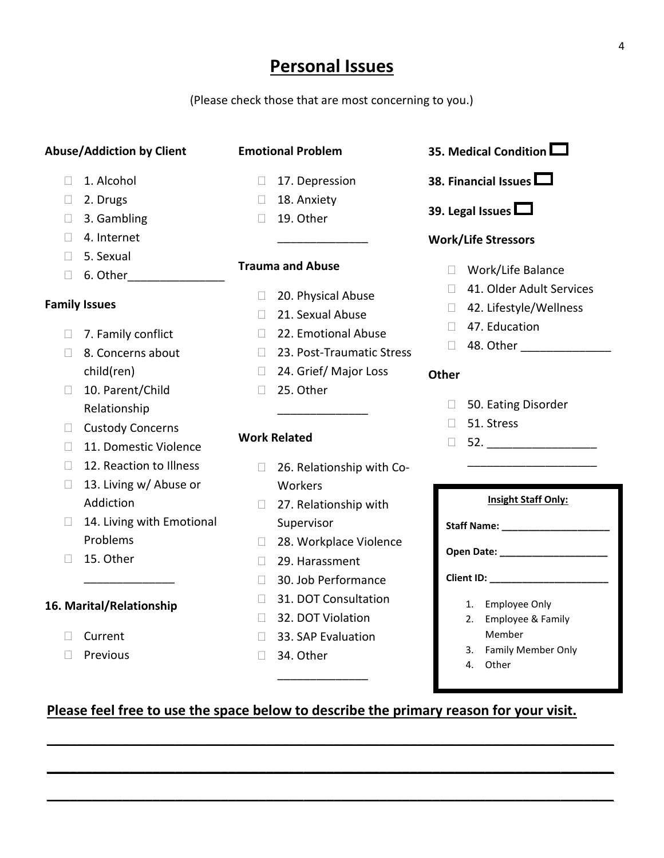## **Personal Issues**

(Please check those that are most concerning to you.)

#### **Abuse/Addiction by Client**

#### **Emotional Problem**

- □ 1. Alcohol
- D 2. Drugs
- □ 3. Gambling
- 4. Internet
- □ 5. Sexual
- $\Box$  6. Other

#### **Family Issues**

- □ 7. Family conflict
- □ 8. Concerns about child(ren)
- □ 10. Parent/Child Relationship
- □ Custody Concerns
- □ 11. Domestic Violence
- □ 12. Reaction to Illness
- □ 13. Living w/ Abuse or Addiction

\_\_\_\_\_\_\_\_\_\_\_\_\_\_

- $\Box$  14. Living with Emotional Problems
- $\Box$  15. Other

#### **16. Marital/Relationship**

- □ Current
- $\Box$  Previous
- □ 17. Depression □ 18. Anxiety
- $\Box$  19. Other

#### **Trauma and Abuse**

20. Physical Abuse

\_\_\_\_\_\_\_\_\_\_\_\_\_\_

- □ 21. Sexual Abuse
- □ 22. Emotional Abuse
- □ 23. Post-Traumatic Stress
- □ 24. Grief/ Major Loss

\_\_\_\_\_\_\_\_\_\_\_\_\_\_

□ 25. Other

#### **Work Related**

- □ 26. Relationship with Co-Workers
- □ 27. Relationship with Supervisor
- □ 28. Workplace Violence
- 29. Harassment
- □ 30. Job Performance
- □ 31. DOT Consultation
- □ 32. DOT Violation
- □ 33. SAP Evaluation

\_\_\_\_\_\_\_\_\_\_\_\_\_\_

**\_\_\_\_\_\_\_\_\_\_\_\_\_\_\_\_\_\_\_\_\_\_\_\_\_\_\_\_\_\_\_\_\_\_\_\_\_\_\_\_\_\_\_\_\_\_\_\_\_\_\_\_\_\_\_\_\_\_\_\_\_\_\_\_\_\_\_\_\_\_\_\_\_\_\_**

**\_\_\_\_\_\_\_\_\_\_\_\_\_\_\_\_\_\_\_\_\_\_\_\_\_\_\_\_\_\_\_\_\_\_\_\_\_\_\_\_\_\_\_\_\_\_\_\_\_\_\_\_\_\_\_\_\_\_\_\_\_\_\_\_\_\_\_\_\_\_\_\_\_\_\_**

**\_\_\_\_\_\_\_\_\_\_\_\_\_\_\_\_\_\_\_\_\_\_\_\_\_\_\_\_\_\_\_\_\_\_\_\_\_\_\_\_\_\_\_\_\_\_\_\_\_\_\_\_\_\_\_\_\_\_\_\_\_\_\_\_\_\_\_\_\_\_\_\_\_\_\_**

□ 34. Other



- **38. Financial Issues**
- **39. Legal Issues**

#### **Work/Life Stressors**

- Work/Life Balance
- □ 41. Older Adult Services
- □ 42. Lifestyle/Wellness
- □ 47. Education
- □ 48. Other \_\_\_\_\_\_\_\_\_\_\_\_\_\_\_\_\_\_

#### **Other**

- □ 50. Eating Disorder
- □ 51. Stress
- $\Box$  52.

|    | <b>Insight Staff Only:</b>                                                                                                                                                                                                     |
|----|--------------------------------------------------------------------------------------------------------------------------------------------------------------------------------------------------------------------------------|
|    | Staff Name: The Control of the Staff Name:                                                                                                                                                                                     |
|    | Open Date: the control of the control of the control of the control of the control of the control of the control of the control of the control of the control of the control of the control of the control of the control of t |
|    | Client ID: $\_\_$                                                                                                                                                                                                              |
| 1. | Employee Only                                                                                                                                                                                                                  |
|    | 2. Employee & Family                                                                                                                                                                                                           |
|    | Member                                                                                                                                                                                                                         |
| 3. | <b>Family Member Only</b>                                                                                                                                                                                                      |

\_\_\_\_\_\_\_\_\_\_\_\_\_\_\_\_\_\_\_\_

4. Other

### **Please feel free to use the space below to describe the primary reason for your visit.**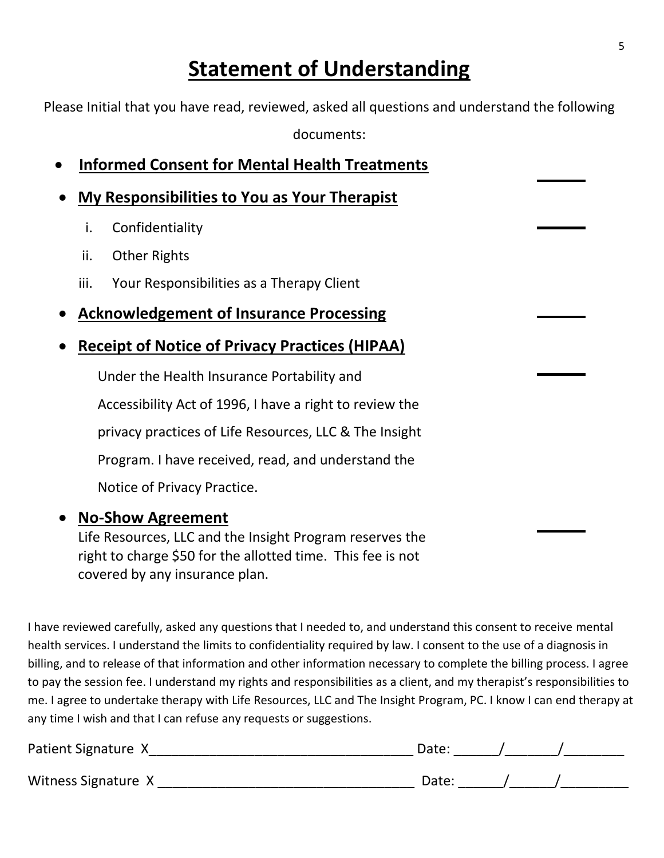# **Statement of Understanding**

Please Initial that you have read, reviewed, asked all questions and understand the following

documents:

|      | <b>Informed Consent for Mental Health Treatments</b>    |
|------|---------------------------------------------------------|
|      | My Responsibilities to You as Your Therapist            |
| i.   | Confidentiality                                         |
| ii.  | <b>Other Rights</b>                                     |
| iii. | Your Responsibilities as a Therapy Client               |
|      | <b>Acknowledgement of Insurance Processing</b>          |
|      | <b>Receipt of Notice of Privacy Practices (HIPAA)</b>   |
|      | Under the Health Insurance Portability and              |
|      | Accessibility Act of 1996, I have a right to review the |
|      | privacy practices of Life Resources, LLC & The Insight  |
|      | Program. I have received, read, and understand the      |
|      | Notice of Privacy Practice.                             |
|      | <b>No-Show Agreement</b>                                |

Life Resources, LLC and the Insight Program reserves the right to charge \$50 for the allotted time. This fee is not covered by any insurance plan.

I have reviewed carefully, asked any questions that I needed to, and understand this consent to receive mental health services. I understand the limits to confidentiality required by law. I consent to the use of a diagnosis in billing, and to release of that information and other information necessary to complete the billing process. I agree to pay the session fee. I understand my rights and responsibilities as a client, and my therapist's responsibilities to me. I agree to undertake therapy with Life Resources, LLC and The Insight Program, PC. I know I can end therapy at any time I wish and that I can refuse any requests or suggestions.

| Patient Signature X | Date: |  |
|---------------------|-------|--|
| Witness Signature X | Date: |  |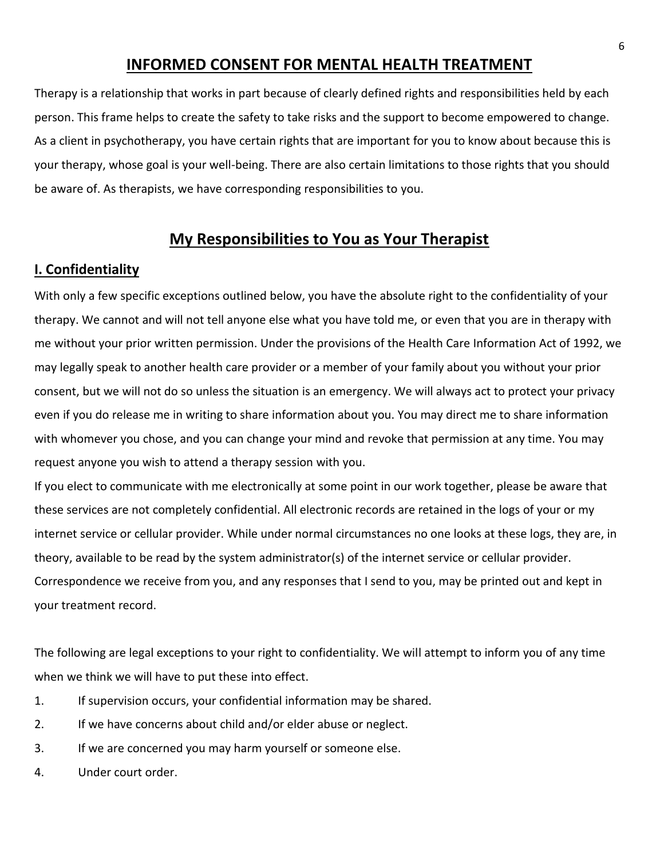### **INFORMED CONSENT FOR MENTAL HEALTH TREATMENT**

Therapy is a relationship that works in part because of clearly defined rights and responsibilities held by each person. This frame helps to create the safety to take risks and the support to become empowered to change. As a client in psychotherapy, you have certain rights that are important for you to know about because this is your therapy, whose goal is your well-being. There are also certain limitations to those rights that you should be aware of. As therapists, we have corresponding responsibilities to you.

### **My Responsibilities to You as Your Therapist**

#### **I. Confidentiality**

With only a few specific exceptions outlined below, you have the absolute right to the confidentiality of your therapy. We cannot and will not tell anyone else what you have told me, or even that you are in therapy with me without your prior written permission. Under the provisions of the Health Care Information Act of 1992, we may legally speak to another health care provider or a member of your family about you without your prior consent, but we will not do so unless the situation is an emergency. We will always act to protect your privacy even if you do release me in writing to share information about you. You may direct me to share information with whomever you chose, and you can change your mind and revoke that permission at any time. You may request anyone you wish to attend a therapy session with you.

If you elect to communicate with me electronically at some point in our work together, please be aware that these services are not completely confidential. All electronic records are retained in the logs of your or my internet service or cellular provider. While under normal circumstances no one looks at these logs, they are, in theory, available to be read by the system administrator(s) of the internet service or cellular provider. Correspondence we receive from you, and any responses that I send to you, may be printed out and kept in your treatment record.

The following are legal exceptions to your right to confidentiality. We will attempt to inform you of any time when we think we will have to put these into effect.

- 1. If supervision occurs, your confidential information may be shared.
- 2. If we have concerns about child and/or elder abuse or neglect.
- 3. If we are concerned you may harm yourself or someone else.
- 4. Under court order.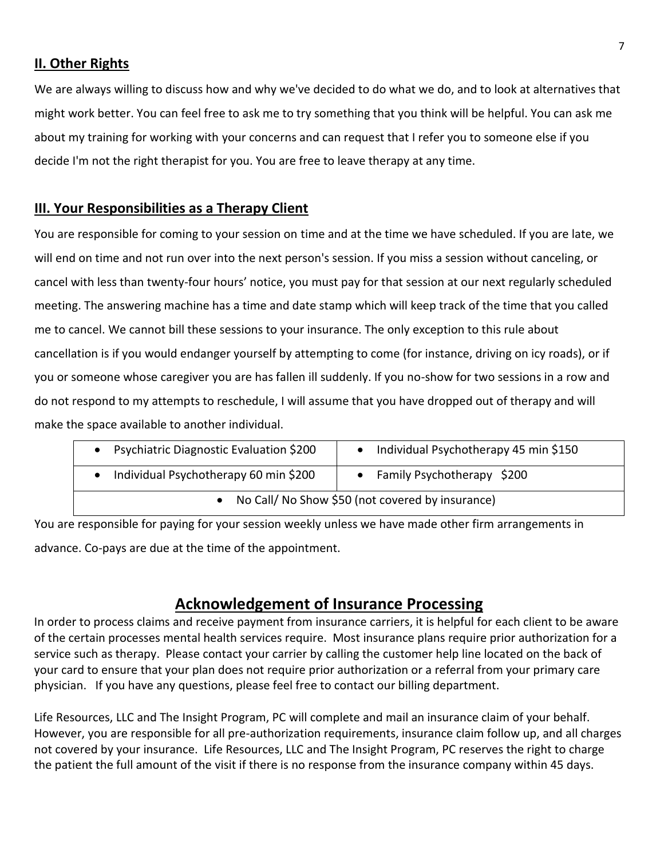#### **II. Other Rights**

We are always willing to discuss how and why we've decided to do what we do, and to look at alternatives that might work better. You can feel free to ask me to try something that you think will be helpful. You can ask me about my training for working with your concerns and can request that I refer you to someone else if you decide I'm not the right therapist for you. You are free to leave therapy at any time.

#### **III. Your Responsibilities as a Therapy Client**

You are responsible for coming to your session on time and at the time we have scheduled. If you are late, we will end on time and not run over into the next person's session. If you miss a session without canceling, or cancel with less than twenty-four hours' notice, you must pay for that session at our next regularly scheduled meeting. The answering machine has a time and date stamp which will keep track of the time that you called me to cancel. We cannot bill these sessions to your insurance. The only exception to this rule about cancellation is if you would endanger yourself by attempting to come (for instance, driving on icy roads), or if you or someone whose caregiver you are has fallen ill suddenly. If you no-show for two sessions in a row and do not respond to my attempts to reschedule, I will assume that you have dropped out of therapy and will make the space available to another individual.

| Psychiatric Diagnostic Evaluation \$200            | Individual Psychotherapy 45 min \$150 |  |
|----------------------------------------------------|---------------------------------------|--|
| Individual Psychotherapy 60 min \$200              | • Family Psychotherapy \$200          |  |
| • No Call/ No Show \$50 (not covered by insurance) |                                       |  |

You are responsible for paying for your session weekly unless we have made other firm arrangements in advance. Co-pays are due at the time of the appointment.

## **Acknowledgement of Insurance Processing**

In order to process claims and receive payment from insurance carriers, it is helpful for each client to be aware of the certain processes mental health services require. Most insurance plans require prior authorization for a service such as therapy. Please contact your carrier by calling the customer help line located on the back of your card to ensure that your plan does not require prior authorization or a referral from your primary care physician. If you have any questions, please feel free to contact our billing department.

Life Resources, LLC and The Insight Program, PC will complete and mail an insurance claim of your behalf. However, you are responsible for all pre-authorization requirements, insurance claim follow up, and all charges not covered by your insurance. Life Resources, LLC and The Insight Program, PC reserves the right to charge the patient the full amount of the visit if there is no response from the insurance company within 45 days.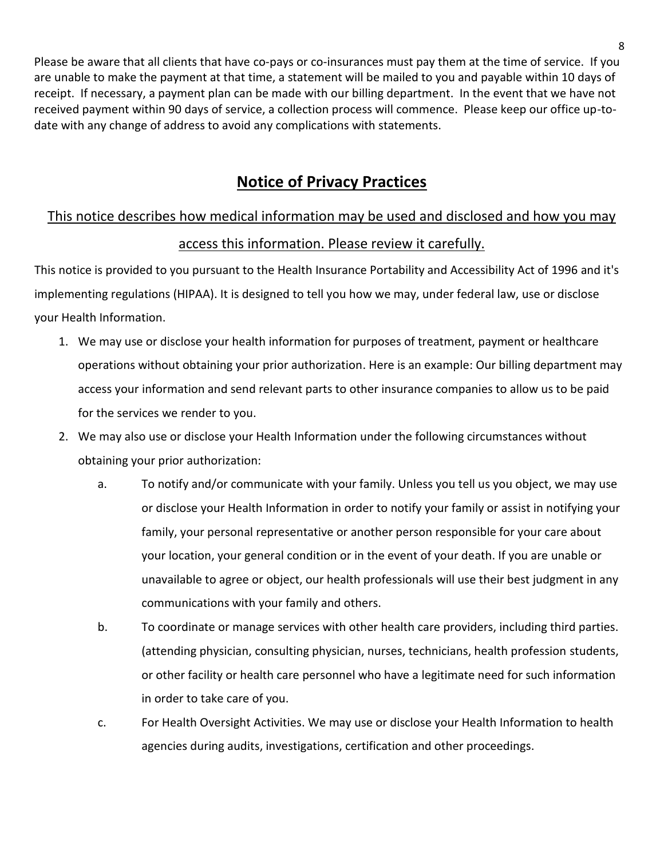Please be aware that all clients that have co-pays or co-insurances must pay them at the time of service. If you are unable to make the payment at that time, a statement will be mailed to you and payable within 10 days of receipt. If necessary, a payment plan can be made with our billing department. In the event that we have not received payment within 90 days of service, a collection process will commence. Please keep our office up-todate with any change of address to avoid any complications with statements.

## **Notice of Privacy Practices**

# This notice describes how medical information may be used and disclosed and how you may access this information. Please review it carefully.

This notice is provided to you pursuant to the Health Insurance Portability and Accessibility Act of 1996 and it's implementing regulations (HIPAA). It is designed to tell you how we may, under federal law, use or disclose your Health Information.

- 1. We may use or disclose your health information for purposes of treatment, payment or healthcare operations without obtaining your prior authorization. Here is an example: Our billing department may access your information and send relevant parts to other insurance companies to allow us to be paid for the services we render to you.
- 2. We may also use or disclose your Health Information under the following circumstances without obtaining your prior authorization:
	- a. To notify and/or communicate with your family. Unless you tell us you object, we may use or disclose your Health Information in order to notify your family or assist in notifying your family, your personal representative or another person responsible for your care about your location, your general condition or in the event of your death. If you are unable or unavailable to agree or object, our health professionals will use their best judgment in any communications with your family and others.
	- b. To coordinate or manage services with other health care providers, including third parties. (attending physician, consulting physician, nurses, technicians, health profession students, or other facility or health care personnel who have a legitimate need for such information in order to take care of you.
	- c. For Health Oversight Activities. We may use or disclose your Health Information to health agencies during audits, investigations, certification and other proceedings.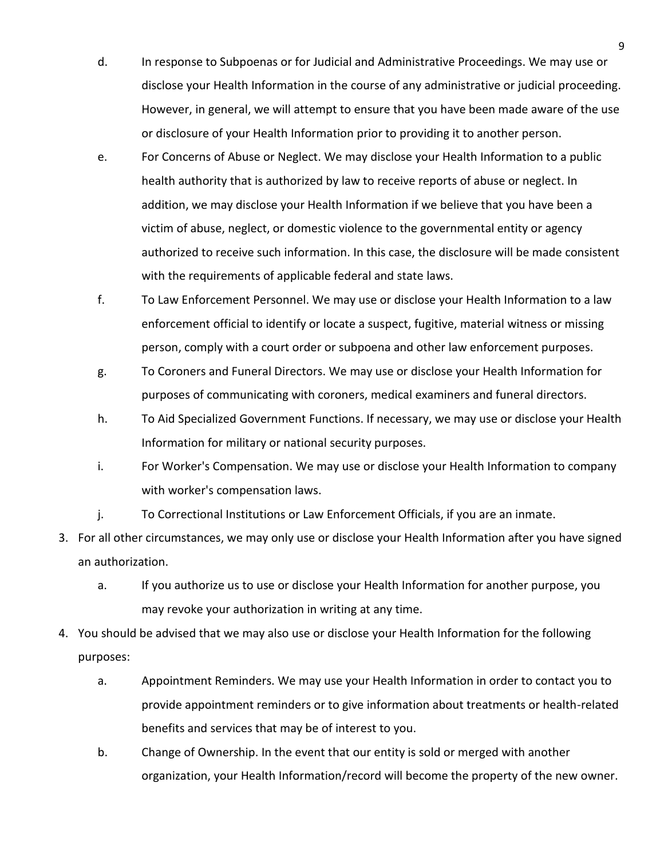- d. In response to Subpoenas or for Judicial and Administrative Proceedings. We may use or disclose your Health Information in the course of any administrative or judicial proceeding. However, in general, we will attempt to ensure that you have been made aware of the use or disclosure of your Health Information prior to providing it to another person.
- e. For Concerns of Abuse or Neglect. We may disclose your Health Information to a public health authority that is authorized by law to receive reports of abuse or neglect. In addition, we may disclose your Health Information if we believe that you have been a victim of abuse, neglect, or domestic violence to the governmental entity or agency authorized to receive such information. In this case, the disclosure will be made consistent with the requirements of applicable federal and state laws.
- f. To Law Enforcement Personnel. We may use or disclose your Health Information to a law enforcement official to identify or locate a suspect, fugitive, material witness or missing person, comply with a court order or subpoena and other law enforcement purposes.
- g. To Coroners and Funeral Directors. We may use or disclose your Health Information for purposes of communicating with coroners, medical examiners and funeral directors.
- h. To Aid Specialized Government Functions. If necessary, we may use or disclose your Health Information for military or national security purposes.
- i. For Worker's Compensation. We may use or disclose your Health Information to company with worker's compensation laws.
- j. To Correctional Institutions or Law Enforcement Officials, if you are an inmate.
- 3. For all other circumstances, we may only use or disclose your Health Information after you have signed an authorization.
	- a. If you authorize us to use or disclose your Health Information for another purpose, you may revoke your authorization in writing at any time.
- 4. You should be advised that we may also use or disclose your Health Information for the following purposes:
	- a. Appointment Reminders. We may use your Health Information in order to contact you to provide appointment reminders or to give information about treatments or health-related benefits and services that may be of interest to you.
	- b. Change of Ownership. In the event that our entity is sold or merged with another organization, your Health Information/record will become the property of the new owner.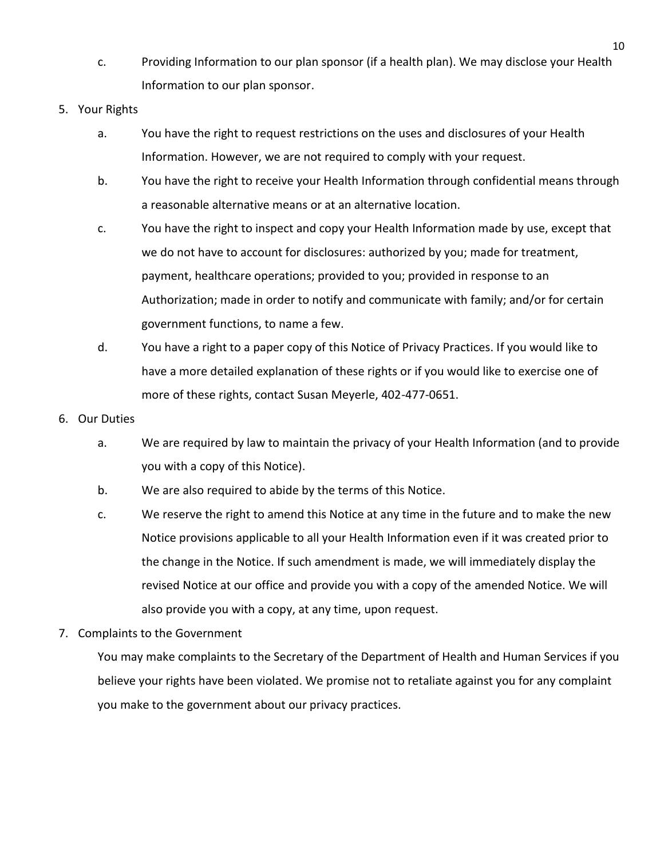- c. Providing Information to our plan sponsor (if a health plan). We may disclose your Health Information to our plan sponsor.
- 5. Your Rights
	- a. You have the right to request restrictions on the uses and disclosures of your Health Information. However, we are not required to comply with your request.
	- b. You have the right to receive your Health Information through confidential means through a reasonable alternative means or at an alternative location.
	- c. You have the right to inspect and copy your Health Information made by use, except that we do not have to account for disclosures: authorized by you; made for treatment, payment, healthcare operations; provided to you; provided in response to an Authorization; made in order to notify and communicate with family; and/or for certain government functions, to name a few.
	- d. You have a right to a paper copy of this Notice of Privacy Practices. If you would like to have a more detailed explanation of these rights or if you would like to exercise one of more of these rights, contact Susan Meyerle, 402-477-0651.
- 6. Our Duties
	- a. We are required by law to maintain the privacy of your Health Information (and to provide you with a copy of this Notice).
	- b. We are also required to abide by the terms of this Notice.
	- c. We reserve the right to amend this Notice at any time in the future and to make the new Notice provisions applicable to all your Health Information even if it was created prior to the change in the Notice. If such amendment is made, we will immediately display the revised Notice at our office and provide you with a copy of the amended Notice. We will also provide you with a copy, at any time, upon request.
- 7. Complaints to the Government

You may make complaints to the Secretary of the Department of Health and Human Services if you believe your rights have been violated. We promise not to retaliate against you for any complaint you make to the government about our privacy practices.